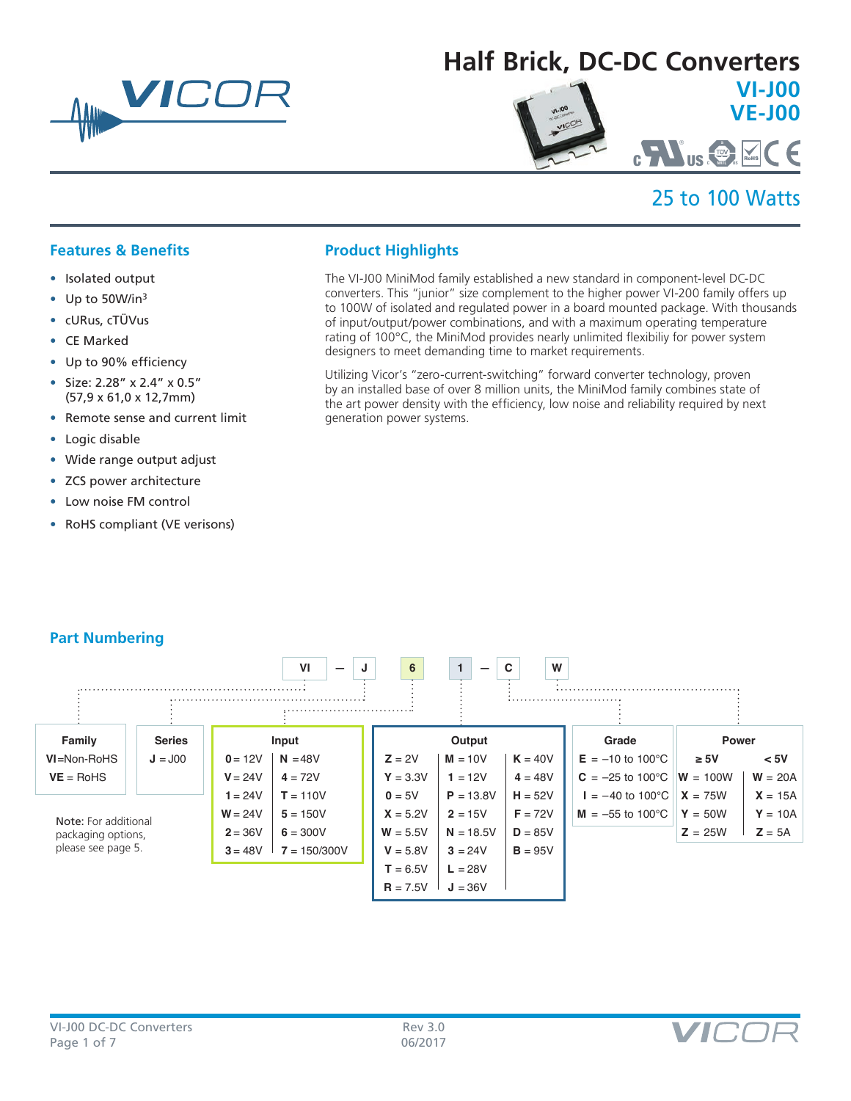

# **Half Brick, DC-DC Converters VI-J00 VE-J00**

# 25 to 100 Watts

C US **C U NRTL <sup>S</sup>** ®

# **Features & Benefits**

- Isolated output
- Up to 50W/in3
- cURus, cTÜVus
- CE Marked
- Up to 90% efficiency
- Size: 2.28" x 2.4" x 0.5" (57,9 x 61,0 x 12,7mm)
- Remote sense and current limit
- Logic disable
- Wide range output adjust
- ZCS power architecture
- Low noise FM control
- RoHS compliant (VE verisons)

# **Product Highlights**

The VI-J00 MiniMod family established a new standard in component-level DC-DC converters. This "junior" size complement to the higher power VI-200 family offers up to 100W of isolated and regulated power in a board mounted package. With thousands of input/output/power combinations, and with a maximum operating temperature rating of 100°C, the MiniMod provides nearly unlimited flexibiliy for power system designers to meet demanding time to market requirements.

Utilizing Vicor's "zero-current-switching" forward converter technology, proven by an installed base of over 8 million units, the MiniMod family combines state of the art power density with the efficiency, low noise and reliability required by next generation power systems.

# **Part Numbering**



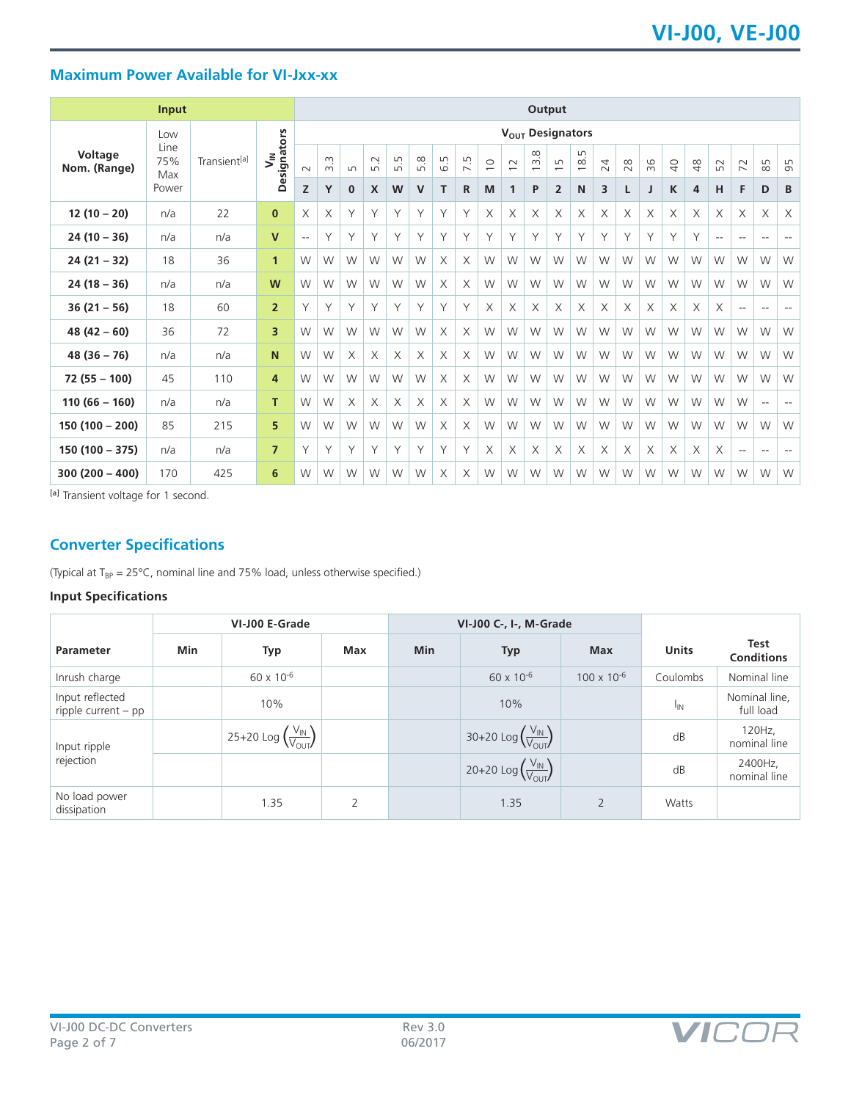# **Maximum Power Available for VI-Jxx-xx**

|                         | <b>Input</b>       |                          |                              | Output                   |               |              |              |                                          |     |          |                                |                |                |                                           |                                    |          |    |    |    |                |               |            |                |                                                     |                          |
|-------------------------|--------------------|--------------------------|------------------------------|--------------------------|---------------|--------------|--------------|------------------------------------------|-----|----------|--------------------------------|----------------|----------------|-------------------------------------------|------------------------------------|----------|----|----|----|----------------|---------------|------------|----------------|-----------------------------------------------------|--------------------------|
|                         | Low                |                          |                              | $V_{OUT}$ Designators    |               |              |              |                                          |     |          |                                |                |                |                                           |                                    |          |    |    |    |                |               |            |                |                                                     |                          |
| Voltage<br>Nom. (Range) | Line<br>75%<br>Max | Transient <sup>[a]</sup> | Designators<br>$\bar{\zeta}$ | $\sim$                   | m<br>$\infty$ | $\sqrt{ }$   | 5.2          | $\mathsf{L}\cap$<br>$\overrightarrow{m}$ | 5.8 | 6.5      | Γņ<br>$\overline{\phantom{0}}$ | $\overline{C}$ | $\overline{C}$ | $\frac{8}{3}$<br>$\overline{\phantom{0}}$ | $\Box$<br>$\overline{\phantom{0}}$ | 18.5     | 24 | 28 | 36 | $\overline{Q}$ | $\frac{8}{4}$ | 52         | $\overline{z}$ | 85                                                  | 95                       |
|                         | Power              |                          |                              | Z                        | Y             | $\mathbf{0}$ | $\mathsf{x}$ | W                                        | V   | T.       | R                              | M              | $\mathbf{1}$   | P                                         | $\overline{2}$                     | N        | 3  | L  |    | K              | 4             | н          | F              | D                                                   | B                        |
| $12(10-20)$             | n/a                | 22                       | $\mathbf{0}$                 | X                        | X             | Υ            | Y            | Υ                                        | Υ   | Y        | Y                              | X              | X              | X                                         | X                                  | Χ        | X  | X  | X  | $\times$       | X             | X          | X              | X                                                   | X                        |
| $24(10 - 36)$           | n/a                | n/a                      | $\mathsf{V}$                 | $\overline{\phantom{a}}$ | Υ             | Υ            | Υ            | Y                                        | Υ   | Υ        | Y                              | Υ              | Y              | Υ                                         | Υ                                  | Υ        | Υ  | Y  | Υ  | Y              | Y             | $\sim$ $-$ | $- -$          | $\hspace{0.05cm} -\hspace{0.05cm} -\hspace{0.05cm}$ | $- -$                    |
| $24(21 - 32)$           | 18                 | 36                       | $\mathbf{1}$                 | W                        | W             | W            | W            | W                                        | W   | X        | X                              | W              | W              | W                                         | W                                  | W        | W  | W  | W  | W              | W             | W          | W              | W                                                   | W                        |
| $24(18-36)$             | n/a                | n/a                      | W                            | W                        | W             | W            | W            | W                                        | W   | X        | X                              | W              | W              | W                                         | W                                  | W        | W  | W  | W  | W              | W             | W          | W              | W                                                   | W                        |
| $36(21 - 56)$           | 18                 | 60                       | $\overline{2}$               | Y                        | Υ             | Υ            | Y            | Υ                                        | Υ   | Υ        | Υ                              | X              | X              | X                                         | X                                  | X        | X  | X  | X  | X              | $\times$      | X          | $-$            | $\hspace{0.05cm} -$                                 | $\overline{\phantom{m}}$ |
| $48(42 - 60)$           | 36                 | 72                       | 3                            | W                        | W             | W            | W            | W                                        | W   | X        | X                              | W              | W              | W                                         | W                                  | W        | W  | W  | W  | W              | W             | W          | W              | W                                                   | W                        |
| $48(36-76)$             | n/a                | n/a                      | N                            | W                        | W             | $\times$     | X            | X                                        | X   | X        | X                              | W              | W              | W                                         | W                                  | W        | W  | W  | W  | W              | W             | W          | W              | W                                                   | W                        |
| $72(55 - 100)$          | 45                 | 110                      | 4                            | W                        | W             | W            | W            | W                                        | W   | X        | X                              | W              | W              | W                                         | W                                  | W        | W  | W  | W  | W              | W             | W          | W              | W                                                   | W                        |
| $110(66 - 160)$         | n/a                | n/a                      | T.                           | W                        | W             | $\times$     | $\times$     | X                                        | X   | X        | X                              | W              | W              | W                                         | W                                  | W        | W  | W  | W  | W              | W             | W          | W              | $\qquad \qquad -$                                   | $\overline{\phantom{m}}$ |
| $150(100 - 200)$        | 85                 | 215                      | 5                            | W                        | W             | W            | W            | W                                        | W   | $\times$ | $\times$                       | W              | W              | W                                         | W                                  | W        | W  | W  | W  | W              | W             | W          | W              | W                                                   | W                        |
| $150(100 - 375)$        | n/a                | n/a                      | $\overline{7}$               | Y                        | Υ             | Υ            | Y            | Υ                                        | Y   | Υ        | Υ                              | $\times$       | $\times$       | X                                         | X                                  | $\times$ | X  | X  | X  | $\times$       | $\times$      | X          | $-$            | $\overline{\phantom{a}}$                            | $\overline{\phantom{m}}$ |
| $300(200 - 400)$        | 170                | 425                      | 6                            | W                        | W             | W            | W            | W                                        | W   | X        | $\times$                       | W              | W              | W                                         | W                                  | W        | W  | W  | W  | W              | W             | W          | W              | W                                                   | W                        |

[a] Transient voltage for 1 second.

# **Converter Specifications**

(Typical at  $T_{BP} = 25^{\circ}C$ , nominal line and 75% load, unless otherwise specified.)

# **Input Specifications**

| VI-J00 E-Grade                           |            |                                                               |     | VI-J00 C-, I-, M-Grade |                                                 |                      |                 |                            |
|------------------------------------------|------------|---------------------------------------------------------------|-----|------------------------|-------------------------------------------------|----------------------|-----------------|----------------------------|
| <b>Parameter</b>                         | <b>Min</b> | Typ                                                           | Max | <b>Min</b>             | <b>Typ</b>                                      | <b>Max</b>           | <b>Units</b>    | Test<br><b>Conditions</b>  |
| Inrush charge                            |            | 60 x 10 <sup>-6</sup>                                         |     |                        | $60 \times 10^{-6}$                             | $100 \times 10^{-6}$ | Coulombs        | Nominal line               |
| Input reflected<br>ripple current $-$ pp |            | 10%                                                           |     |                        | 10%                                             |                      | <sup>I</sup> IN | Nominal line,<br>full load |
| Input ripple                             |            | 25+20 Log $\left(\frac{V_{\text{IN}}}{V_{\text{OUT}}}\right)$ |     |                        | 30+20 Log $\left(\frac{V_{IN}}{V_{OUT}}\right)$ |                      | dB              | 120Hz,<br>nominal line     |
| rejection                                |            |                                                               |     |                        | 20+20 Log $\left(\frac{V_{IN}}{V_{OUT}}\right)$ |                      | dB              | 2400Hz,<br>nominal line    |
| No load power<br>dissipation             |            | 1.35                                                          | 2   |                        | 1.35                                            | $\overline{2}$       | Watts           |                            |

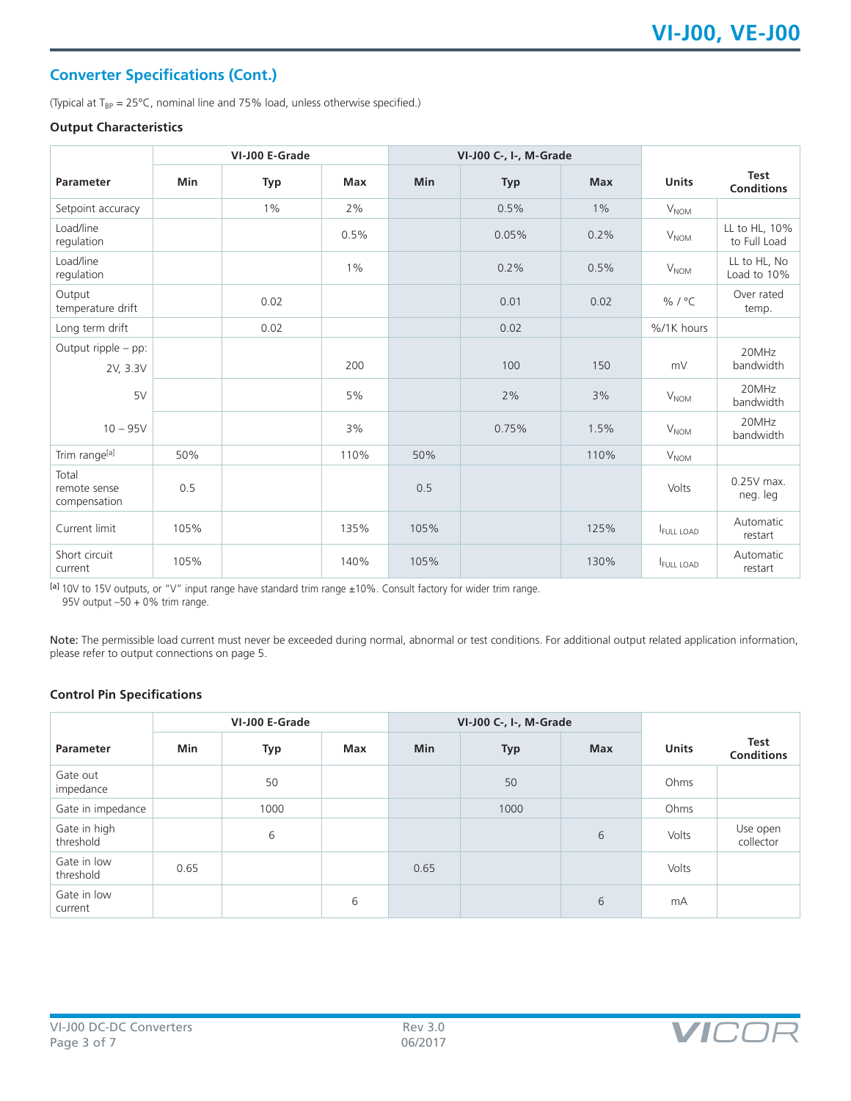# **Converter Specifications (Cont.)**

(Typical at  $T_{BP} = 25^{\circ}$ C, nominal line and 75% load, unless otherwise specified.)

#### **Output Characteristics**

|                                       |      | VI-J00 E-Grade |       | VI-J00 C-, I-, M-Grade |            |            |                  |                                  |
|---------------------------------------|------|----------------|-------|------------------------|------------|------------|------------------|----------------------------------|
| <b>Parameter</b>                      | Min  | <b>Typ</b>     | Max   | <b>Min</b>             | <b>Typ</b> | <b>Max</b> | <b>Units</b>     | <b>Test</b><br><b>Conditions</b> |
| Setpoint accuracy                     |      | $1\%$          | 2%    |                        | 0.5%       | $1\%$      | V <sub>NOM</sub> |                                  |
| Load/line<br>regulation               |      |                | 0.5%  |                        | 0.05%      | 0.2%       | V <sub>NOM</sub> | LL to HL, 10%<br>to Full Load    |
| Load/line<br>regulation               |      |                | $1\%$ |                        | 0.2%       | 0.5%       | $V_{\text{NOM}}$ | LL to HL, No<br>Load to 10%      |
| Output<br>temperature drift           |      | 0.02           |       |                        | 0.01       | 0.02       | % / $^{\circ}$ C | Over rated<br>temp.              |
| Long term drift                       |      | 0.02           |       |                        | 0.02       |            | %/1K hours       |                                  |
| Output ripple - pp:<br>2V, 3.3V       |      |                | 200   |                        | 100        | 150        | mV               | 20MHz<br>bandwidth               |
| 5V                                    |      |                | 5%    |                        | 2%         | 3%         | V <sub>NOM</sub> | 20MHz<br>bandwidth               |
| $10 - 95V$                            |      |                | 3%    |                        | 0.75%      | 1.5%       | $V_{NOM}$        | 20MHz<br>bandwidth               |
| Trim range <sup>[a]</sup>             | 50%  |                | 110%  | 50%                    |            | 110%       | V <sub>NOM</sub> |                                  |
| Total<br>remote sense<br>compensation | 0.5  |                |       | 0.5                    |            |            | Volts            | $0.25V$ max.<br>neg. leg         |
| Current limit                         | 105% |                | 135%  | 105%                   |            | 125%       | <b>FULL LOAD</b> | Automatic<br>restart             |
| Short circuit<br>current              | 105% |                | 140%  | 105%                   |            | 130%       | <b>FULL LOAD</b> | Automatic<br>restart             |

[a] 10V to 15V outputs, or "V" input range have standard trim range ±10%. Consult factory for wider trim range. 95V output –50 + 0% trim range.

Note: The permissible load current must never be exceeded during normal, abnormal or test conditions. For additional output related application information, please refer to output connections on page 5.

## **Control Pin Specifications**

|                           | VI-J00 E-Grade |      |     |            | VI-J00 C-, I-, M-Grade |            |              |                                  |
|---------------------------|----------------|------|-----|------------|------------------------|------------|--------------|----------------------------------|
| <b>Parameter</b>          | Min            | Typ  | Max | <b>Min</b> | <b>Typ</b>             | <b>Max</b> | <b>Units</b> | <b>Test</b><br><b>Conditions</b> |
| Gate out<br>impedance     |                | 50   |     |            | 50                     |            | Ohms         |                                  |
| Gate in impedance         |                | 1000 |     |            | 1000                   |            | Ohms         |                                  |
| Gate in high<br>threshold |                | 6    |     |            |                        | 6          | Volts        | Use open<br>collector            |
| Gate in low<br>threshold  | 0.65           |      |     | 0.65       |                        |            | Volts        |                                  |
| Gate in low<br>current    |                |      | 6   |            |                        | 6          | mA           |                                  |

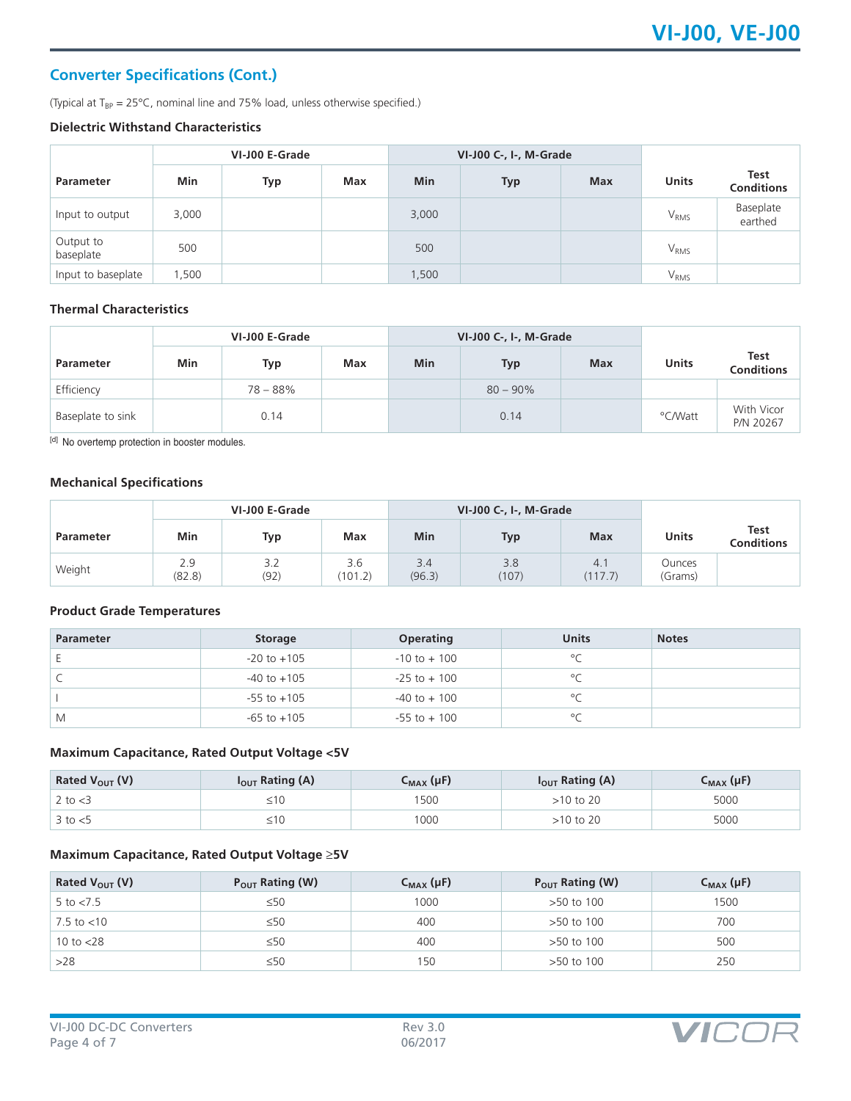# **Converter Specifications (Cont.)**

(Typical at  $T_{BP} = 25^{\circ}$ C, nominal line and 75% load, unless otherwise specified.)

#### **Dielectric Withstand Characteristics**

|                        | VI-J00 E-Grade |     |     |            | VI-J00 C-, I-, M-Grade |            |                  |                                  |
|------------------------|----------------|-----|-----|------------|------------------------|------------|------------------|----------------------------------|
| <b>Parameter</b>       | Min            | Typ | Max | <b>Min</b> | <b>Typ</b>             | <b>Max</b> | <b>Units</b>     | <b>Test</b><br><b>Conditions</b> |
| Input to output        | 3,000          |     |     | 3,000      |                        |            | $V_{RMS}$        | Baseplate<br>earthed             |
| Output to<br>baseplate | 500            |     |     | 500        |                        |            | $V_{RMS}$        |                                  |
| Input to baseplate     | .500           |     |     | 1,500      |                        |            | V <sub>RMS</sub> |                                  |

# **Thermal Characteristics**

|                   | VI-J00 E-Grade |            |            |            | VI-J00 C-, I-, M-Grade |            |         |                         |
|-------------------|----------------|------------|------------|------------|------------------------|------------|---------|-------------------------|
| <b>Parameter</b>  | <b>Min</b>     | Typ        | <b>Max</b> | <b>Min</b> | Typ                    | <b>Max</b> | Units   | Test<br>Conditions      |
| Efficiency        |                | $78 - 88%$ |            |            | $80 - 90\%$            |            |         |                         |
| Baseplate to sink |                | 0.14       |            |            | 0.14                   |            | °C/Watt | With Vicor<br>P/N 20267 |

[d] No overtemp protection in booster modules.

# **Mechanical Specifications**

| VI-J00 E-Grade |               |             |                | VI-J00 C-, I-, M-Grade |              |                |                          |                                  |
|----------------|---------------|-------------|----------------|------------------------|--------------|----------------|--------------------------|----------------------------------|
| Parameter      | Min           | Typ         | Max            | <b>Min</b>             | <b>Typ</b>   | <b>Max</b>     | Units                    | <b>Test</b><br><b>Conditions</b> |
| Weight         | 2.9<br>(82.8) | 3.2<br>(92) | 3.6<br>(101.2) | 3.4<br>(96.3)          | 3.8<br>(107) | 4.1<br>(117.7) | <b>Ounces</b><br>(Grams) |                                  |

## **Product Grade Temperatures**

| <b>Parameter</b> | <b>Storage</b>  | <b>Operating</b> | <b>Units</b> | <b>Notes</b> |
|------------------|-----------------|------------------|--------------|--------------|
|                  | $-20$ to $+105$ | $-10$ to $+100$  | $\circ$      |              |
|                  | $-40$ to $+105$ | $-25$ to $+100$  | $\circ$      |              |
|                  | $-55$ to $+105$ | $-40$ to $+100$  | $\circ$      |              |
| M                | $-65$ to $+105$ | $-55$ to $+100$  | $\circ$      |              |

## **Maximum Capacitance, Rated Output Voltage <5V**

| Rated $V_{OUT}$ (V) | I <sub>OUT</sub> Rating (A) | $C_{MAX}(\mu F)$ | $I_{OUT}$ Rating (A) | $C_{MAX}(\mu F)$ |
|---------------------|-----------------------------|------------------|----------------------|------------------|
| 2 to $<$ 3          |                             | 500              | 10 to 20             | 5000             |
| $3$ to $< 5$        |                             | 1000             | >10 to 20            | 5000             |

#### **Maximum Capacitance, Rated Output Voltage** ≥**5V**

| Rated $V_{OUT} (V)$    | $P_{OUT}$ Rating (W) | $C_{MAX}(\mu F)$ | $P_{OUT}$ Rating (W) | $C_{MAX}(\mu F)$ |
|------------------------|----------------------|------------------|----------------------|------------------|
| 5 to $< 7.5$           | $\leq 50$            | 1000             | >50 to 100           | 1500             |
| $7.5 \text{ to } < 10$ | $\leq 50$            | 400              | >50 to 100           | 700              |
| 10 to $<$ 28           | $\leq 50$            | 400              | >50 to 100           | 500              |
| >28                    | $\leq 50$            | 150              | >50 to 100           | 250              |

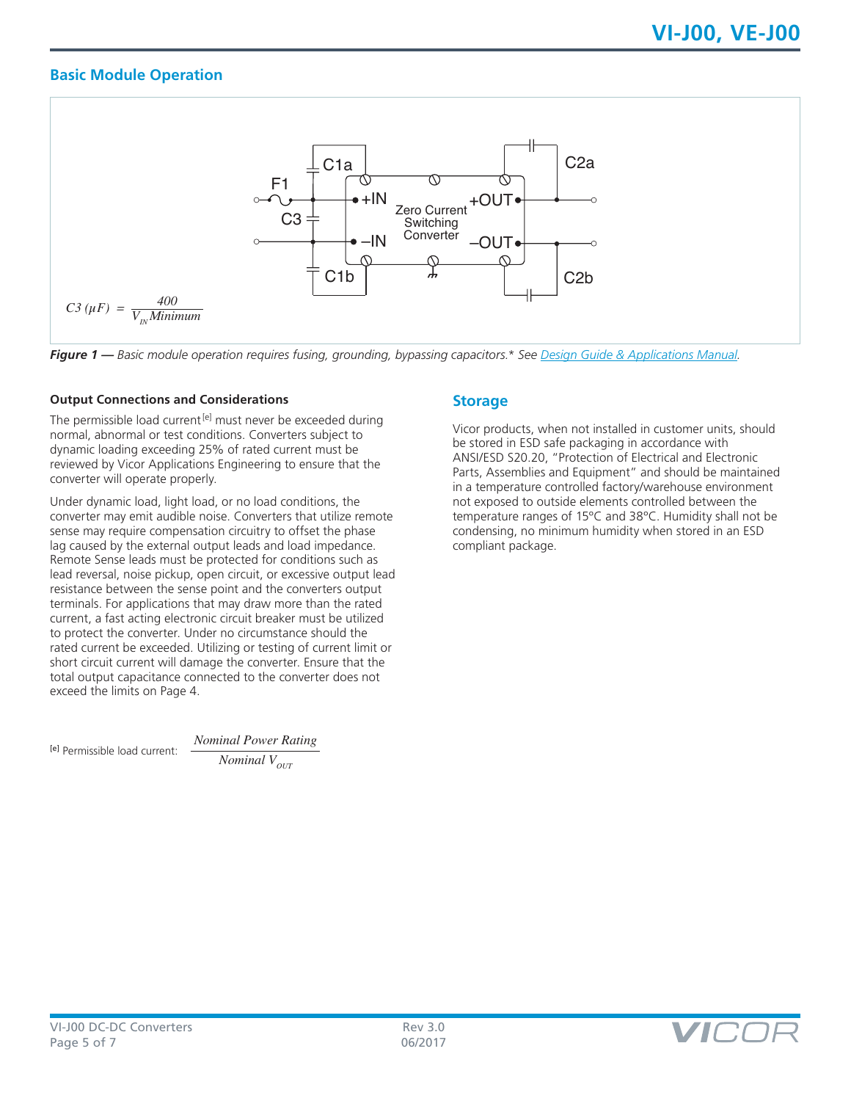# **Basic Module Operation**



*Figure 1 — Basic module operation requires fusing, grounding, bypassing capacitors.\* See [Design Guide & Applications Manual.](http://www.vicorpower.com/documents/applications_manual/DesignGuideAppsManual_200J00.pdf)*

## **Output Connections and Considerations**

The permissible load current<sup>[e]</sup> must never be exceeded during normal, abnormal or test conditions. Converters subject to dynamic loading exceeding 25% of rated current must be reviewed by Vicor Applications Engineering to ensure that the converter will operate properly.

Under dynamic load, light load, or no load conditions, the converter may emit audible noise. Converters that utilize remote sense may require compensation circuitry to offset the phase lag caused by the external output leads and load impedance. Remote Sense leads must be protected for conditions such as lead reversal, noise pickup, open circuit, or excessive output lead resistance between the sense point and the converters output terminals. For applications that may draw more than the rated current, a fast acting electronic circuit breaker must be utilized to protect the converter. Under no circumstance should the rated current be exceeded. Utilizing or testing of current limit or short circuit current will damage the converter. Ensure that the total output capacitance connected to the converter does not exceed the limits on Page 4.

[e] Permissible load current:

*Nominal Power Rating Nominal*  $V_{\text{out}}$ 

# **Storage**

Vicor products, when not installed in customer units, should be stored in ESD safe packaging in accordance with ANSI/ESD S20.20, "Protection of Electrical and Electronic Parts, Assemblies and Equipment" and should be maintained in a temperature controlled factory/warehouse environment not exposed to outside elements controlled between the temperature ranges of 15ºC and 38ºC. Humidity shall not be condensing, no minimum humidity when stored in an ESD compliant package.

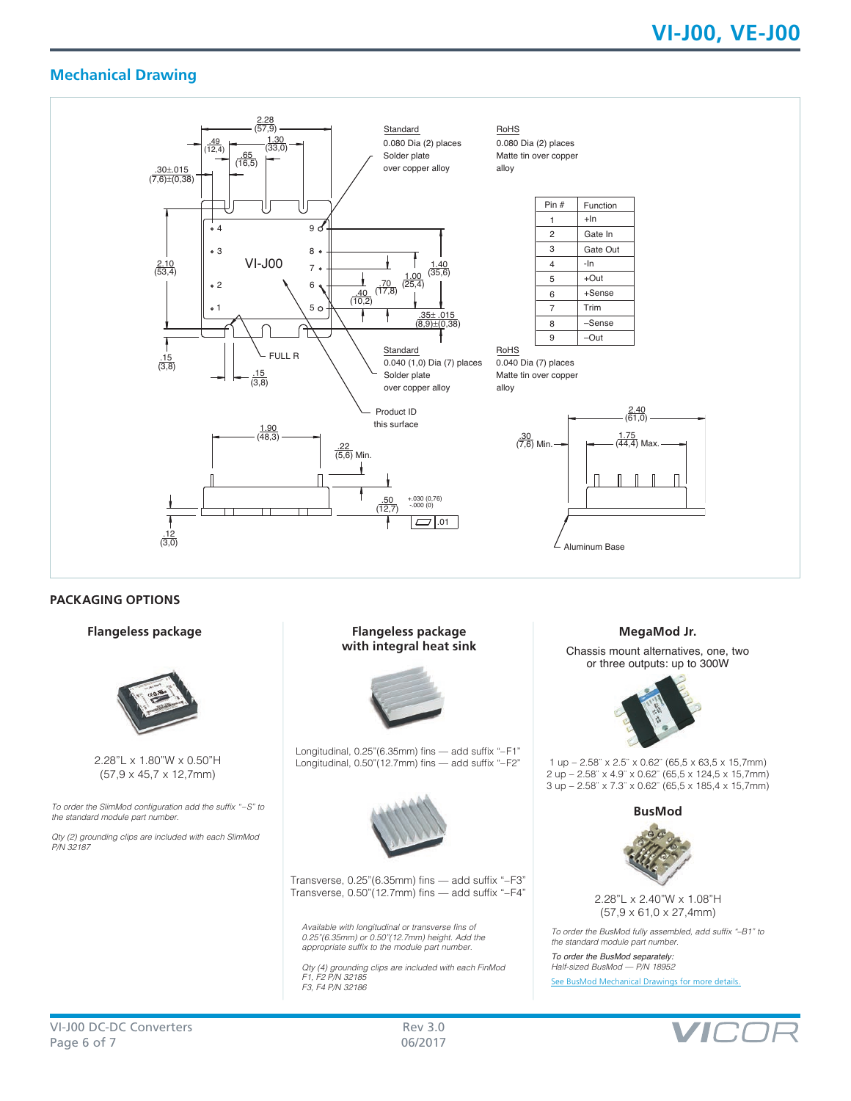# **Mechanical Drawing**



# **PACKAGING OPTIONS**



2.28"L x 1.80"W x 0.50"H (57,9 x 45,7 x 12,7mm)

To order the SlimMod configuration add the suffix "–S" to the standard module part number.

Qty (2) grounding clips are included with each SlimMod *P/N 32187*

#### **Flangeless package Flangeless package with integral heat sink**



Longitudinal, 0.25"(6.35mm) fins — add suffix "–F1" Longitudinal, 0.50"(12.7mm) fins — add suffix "–F2"



Transverse, 0.25"(6.35mm) fins — add suffix "–F3" Transverse, 0.50"(12.7mm) fins — add suffix "-F4" 2.28"L x 2.40"W x 1.08"H

Available with longitudinal or transverse fins of 0.25"(6.35mm) or 0.50"(12.7mm) height. Add the appropriate suffix to the module part number.

Qty (4) grounding clips are included with each FinMod F1, F2 P/N 32185 F3, F4 P/N 32186

#### **MegaMod Jr.**

Chassis mount alternatives, one, two or three outputs: up to 300W



1 up – 2.58¨ x 2.5¨ x 0.62¨ (65,5 x 63,5 x 15,7mm) 2 up – 2.58¨ x 4.9¨ x 0.62¨ (65,5 x 124,5 x 15,7mm) 3 up – 2.58¨ x 7.3¨ x 0.62¨ (65,5 x 185,4 x 15,7mm)

**BusMod**



(57,9 x 61,0 x 27,4mm)

To order the BusMod fully assembled, add suffix "–B1" to the standard module part number.

*To order the BusMod separately:* Half-sized BusMod — P/N 18952

[See BusMod Mechanical Drawings for more details.](http://asp.vicorpower.com/CADPDF/2R4R4J.PDF)

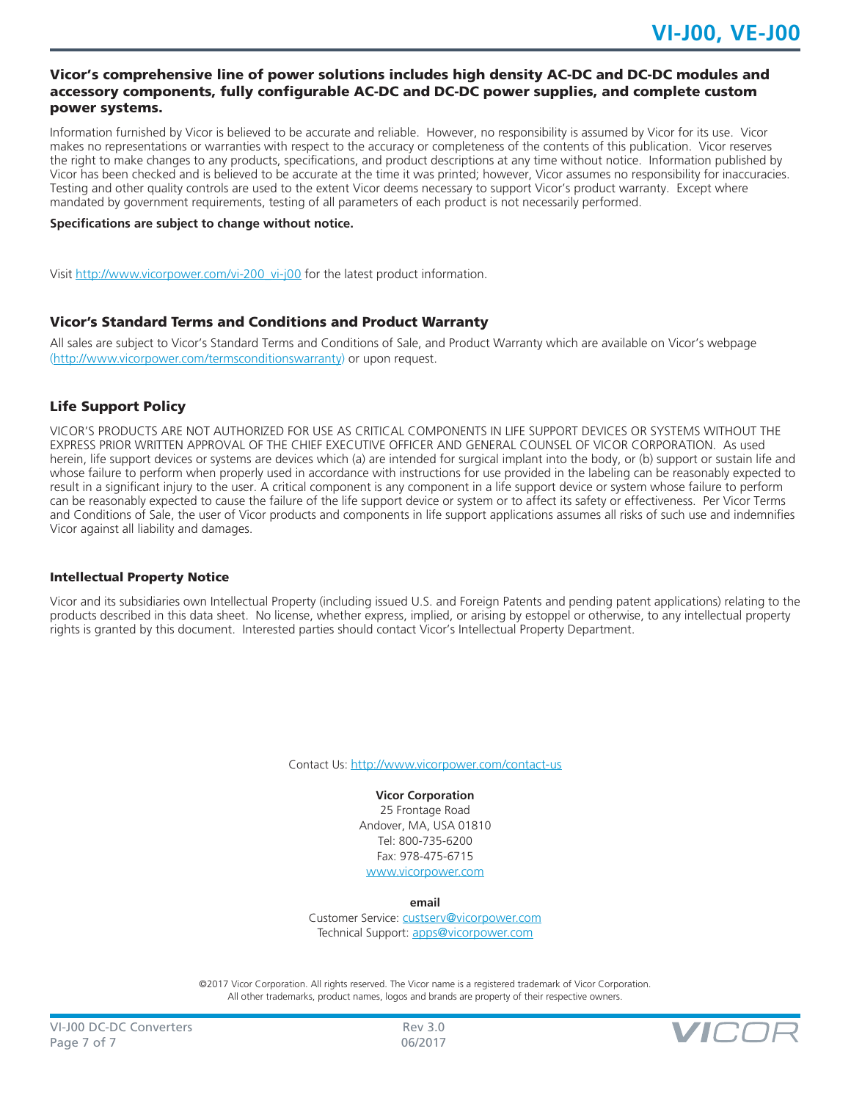## Vicor's comprehensive line of power solutions includes high density AC-DC and DC-DC modules and accessory components, fully configurable AC-DC and DC-DC power supplies, and complete custom power systems.

Information furnished by Vicor is believed to be accurate and reliable. However, no responsibility is assumed by Vicor for its use. Vicor makes no representations or warranties with respect to the accuracy or completeness of the contents of this publication. Vicor reserves the right to make changes to any products, specifications, and product descriptions at any time without notice. Information published by Vicor has been checked and is believed to be accurate at the time it was printed; however, Vicor assumes no responsibility for inaccuracies. Testing and other quality controls are used to the extent Vicor deems necessary to support Vicor's product warranty. Except where mandated by government requirements, testing of all parameters of each product is not necessarily performed.

#### **Specifications are subject to change without notice.**

Visit [http://www.vicorpower.com/vi-200\\_vi-j00](http://www.vicorpower.com/vi-200_vi-j00) for the latest product information.

# Vicor's Standard Terms and Conditions and Product Warranty

All sales are subject to Vicor's Standard Terms and Conditions of Sale, and Product Warranty which are available on Vicor's webpage ([http://www.vicorpower.com/termsconditionswarranty\)](http://www.vicorpower.com/termsconditions) or upon request.

# Life Support Policy

VICOR'S PRODUCTS ARE NOT AUTHORIZED FOR USE AS CRITICAL COMPONENTS IN LIFE SUPPORT DEVICES OR SYSTEMS WITHOUT THE EXPRESS PRIOR WRITTEN APPROVAL OF THE CHIEF EXECUTIVE OFFICER AND GENERAL COUNSEL OF VICOR CORPORATION. As used herein, life support devices or systems are devices which (a) are intended for surgical implant into the body, or (b) support or sustain life and whose failure to perform when properly used in accordance with instructions for use provided in the labeling can be reasonably expected to result in a significant injury to the user. A critical component is any component in a life support device or system whose failure to perform can be reasonably expected to cause the failure of the life support device or system or to affect its safety or effectiveness. Per Vicor Terms and Conditions of Sale, the user of Vicor products and components in life support applications assumes all risks of such use and indemnifies Vicor against all liability and damages.

#### Intellectual Property Notice

Vicor and its subsidiaries own Intellectual Property (including issued U.S. and Foreign Patents and pending patent applications) relating to the products described in this data sheet. No license, whether express, implied, or arising by estoppel or otherwise, to any intellectual property rights is granted by this document. Interested parties should contact Vicor's Intellectual Property Department.

Contact Us: <http://www.vicorpower.com/contact-us>

# **Vicor Corporation**

25 Frontage Road Andover, MA, USA 01810 Tel: 800-735-6200 Fax: 978-475-6715 [www.vicorpower.com](http://www.vicorpower.com)

**email**

Customer Service: [custserv@vicorpower.com](mailto:%20custserv%40vicorpower.com?subject=) Technical Support: [apps@vicorpower.com](mailto:apps%40vicorpower.com?subject=)

©2017 Vicor Corporation. All rights reserved. The Vicor name is a registered trademark of Vicor Corporation. All other trademarks, product names, logos and brands are property of their respective owners.